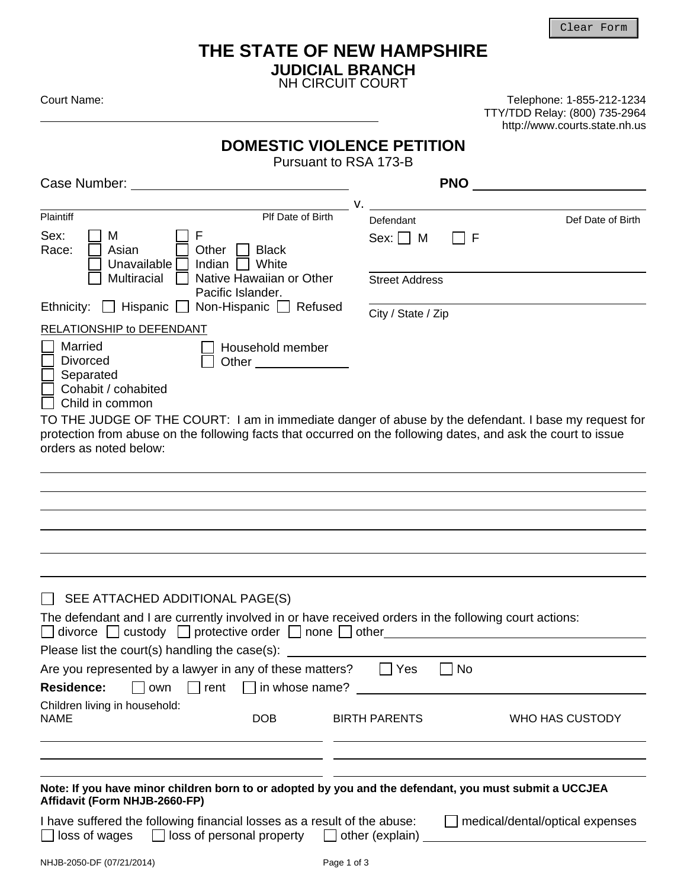## **THE STATE OF NEW HAMPSHIRE**

**JUDICIAL BRANCH**

NH CIRCUIT COURT

Court Name: Telephone: 1-855-212-1234 TTY/TDD Relay: (800) 735-2964 http://www.courts.state.nh.us

## **DOMESTIC VIOLENCE PETITION**

Pursuant to RSA 173-B

| Case Number: The Case of the Case of the Case of the Case of the Case of the Case of the Case of the Case of the Case of the Case of the Case of the Case of the Case of the Case of the Case of the Case of the Case of the C                                                                                                          | <b>PNO</b>                                                |
|-----------------------------------------------------------------------------------------------------------------------------------------------------------------------------------------------------------------------------------------------------------------------------------------------------------------------------------------|-----------------------------------------------------------|
| Plaintiff<br>Plf Date of Birth                                                                                                                                                                                                                                                                                                          | ν.<br>Def Date of Birth<br>Defendant                      |
| Sex:<br>F<br>M<br>Other<br><b>Black</b><br>Race:<br>Asian<br>White<br>Unavailable<br>Indian                                                                                                                                                                                                                                             | $Sex: \Box M$<br>F                                        |
| Multiracial<br>Native Hawaiian or Other<br>Pacific Islander.                                                                                                                                                                                                                                                                            | <b>Street Address</b>                                     |
| Hispanic Non-Hispanic I Refused<br>Ethnicity:                                                                                                                                                                                                                                                                                           | City / State / Zip                                        |
| RELATIONSHIP to DEFENDANT                                                                                                                                                                                                                                                                                                               |                                                           |
| Married<br>Household member<br><b>Divorced</b><br>Other the contract of the contract of the contract of the contract of the contract of the contract of the contract of the contract of the contract of the contract of the contract of the contract of the contract of the cont<br>Separated<br>Cohabit / cohabited<br>Child in common |                                                           |
| TO THE JUDGE OF THE COURT: I am in immediate danger of abuse by the defendant. I base my request for<br>protection from abuse on the following facts that occurred on the following dates, and ask the court to issue<br>orders as noted below:                                                                                         |                                                           |
|                                                                                                                                                                                                                                                                                                                                         |                                                           |
|                                                                                                                                                                                                                                                                                                                                         |                                                           |
|                                                                                                                                                                                                                                                                                                                                         |                                                           |
|                                                                                                                                                                                                                                                                                                                                         |                                                           |
|                                                                                                                                                                                                                                                                                                                                         |                                                           |
|                                                                                                                                                                                                                                                                                                                                         |                                                           |
| SEE ATTACHED ADDITIONAL PAGE(S)                                                                                                                                                                                                                                                                                                         |                                                           |
| The defendant and I are currently involved in or have received orders in the following court actions:<br>$\Box$ divorce $\Box$ custody $\Box$ protective order $\Box$ none $\Box$ other $\Box$                                                                                                                                          |                                                           |
| Please list the court(s) handling the case(s): _________________________________                                                                                                                                                                                                                                                        |                                                           |
| Are you represented by a lawyer in any of these matters?                                                                                                                                                                                                                                                                                | No<br>Yes                                                 |
| <b>Residence:</b><br>own<br>rent                                                                                                                                                                                                                                                                                                        | $\Box$ in whose name? $\Box$                              |
| Children living in household:<br><b>NAME</b><br><b>DOB</b>                                                                                                                                                                                                                                                                              | <b>BIRTH PARENTS</b><br>WHO HAS CUSTODY                   |
|                                                                                                                                                                                                                                                                                                                                         |                                                           |
|                                                                                                                                                                                                                                                                                                                                         |                                                           |
| Note: If you have minor children born to or adopted by you and the defendant, you must submit a UCCJEA<br>Affidavit (Form NHJB-2660-FP)                                                                                                                                                                                                 |                                                           |
| I have suffered the following financial losses as a result of the abuse:<br>$\Box$ loss of personal property<br>loss of wages                                                                                                                                                                                                           | $\Box$ medical/dental/optical expenses<br>other (explain) |
|                                                                                                                                                                                                                                                                                                                                         |                                                           |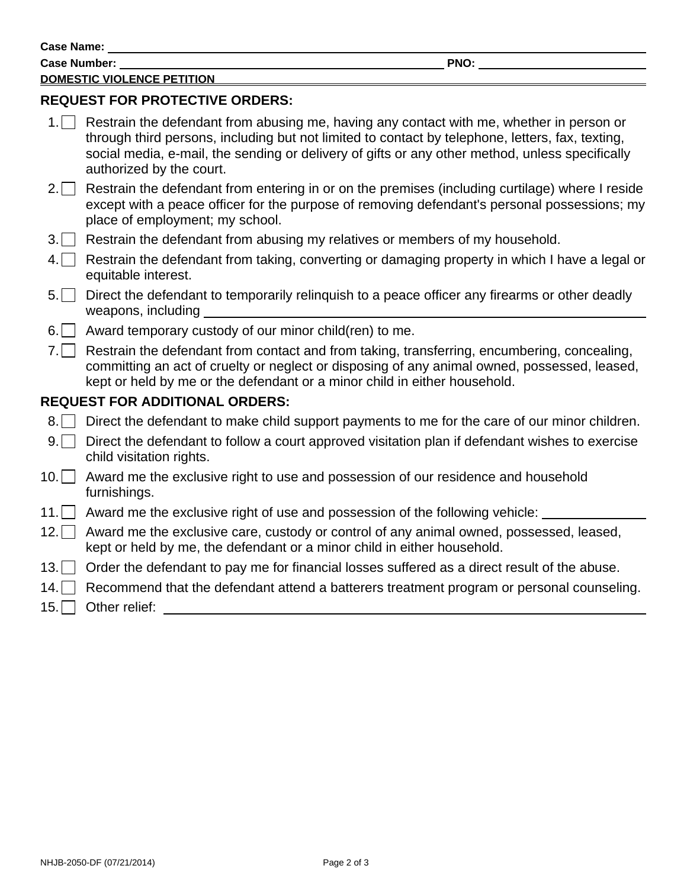**DOMESTIC VIOLENCE PETITION** 

#### **REQUEST FOR PROTECTIVE ORDERS:**

| 1.1 <sub>1</sub>                      | Restrain the defendant from abusing me, having any contact with me, whether in person or<br>through third persons, including but not limited to contact by telephone, letters, fax, texting,<br>social media, e-mail, the sending or delivery of gifts or any other method, unless specifically<br>authorized by the court. |  |
|---------------------------------------|-----------------------------------------------------------------------------------------------------------------------------------------------------------------------------------------------------------------------------------------------------------------------------------------------------------------------------|--|
| 2.1                                   | Restrain the defendant from entering in or on the premises (including curtilage) where I reside<br>except with a peace officer for the purpose of removing defendant's personal possessions; my<br>place of employment; my school.                                                                                          |  |
| $3.1 \perp$                           | Restrain the defendant from abusing my relatives or members of my household.                                                                                                                                                                                                                                                |  |
| 4.                                    | Restrain the defendant from taking, converting or damaging property in which I have a legal or<br>equitable interest.                                                                                                                                                                                                       |  |
| $5.$                                  | Direct the defendant to temporarily relinquish to a peace officer any firearms or other deadly<br>weapons, including                                                                                                                                                                                                        |  |
| 6.1<br>$\blacksquare$                 | Award temporary custody of our minor child(ren) to me.                                                                                                                                                                                                                                                                      |  |
| 7.1                                   | Restrain the defendant from contact and from taking, transferring, encumbering, concealing,<br>committing an act of cruelty or neglect or disposing of any animal owned, possessed, leased,<br>kept or held by me or the defendant or a minor child in either household.                                                    |  |
| <b>REQUEST FOR ADDITIONAL ORDERS:</b> |                                                                                                                                                                                                                                                                                                                             |  |
| 8.                                    | Direct the defendant to make child support payments to me for the care of our minor children.                                                                                                                                                                                                                               |  |
| 9.                                    | Direct the defendant to follow a court approved visitation plan if defendant wishes to exercise<br>child visitation rights.                                                                                                                                                                                                 |  |
| 10.                                   | Award me the exclusive right to use and possession of our residence and household<br>furnishings.                                                                                                                                                                                                                           |  |
| $11.$                                 | Award me the exclusive right of use and possession of the following vehicle:                                                                                                                                                                                                                                                |  |
| 12.                                   | Award me the exclusive care, custody or control of any animal owned, possessed, leased,<br>kept or held by me, the defendant or a minor child in either household.                                                                                                                                                          |  |
| $13. \cdot $                          | Order the defendant to pay me for financial losses suffered as a direct result of the abuse.                                                                                                                                                                                                                                |  |
| 14.                                   | Recommend that the defendant attend a batterers treatment program or personal counseling.                                                                                                                                                                                                                                   |  |
| 15.                                   | Other relief:                                                                                                                                                                                                                                                                                                               |  |